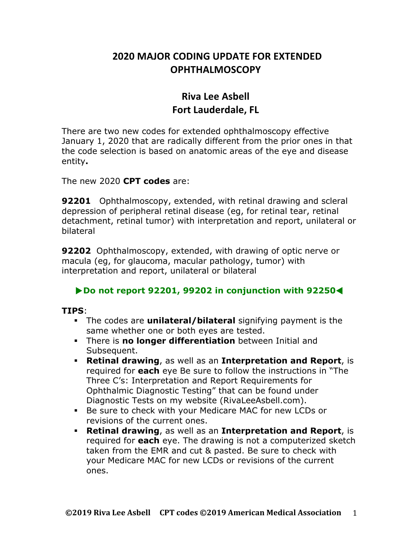## **2020 MAJOR CODING UPDATE FOR EXTENDED OPHTHALMOSCOPY**

## **Riva Lee Asbell Fort Lauderdale, FL**

There are two new codes for extended ophthalmoscopy effective January 1, 2020 that are radically different from the prior ones in that the code selection is based on anatomic areas of the eye and disease entity**.**

The new 2020 **CPT codes** are:

**92201** Ophthalmoscopy, extended, with retinal drawing and scleral depression of peripheral retinal disease (eg, for retinal tear, retinal detachment, retinal tumor) with interpretation and report, unilateral or bilateral

**92202** Ophthalmoscopy, extended, with drawing of optic nerve or macula (eg, for glaucoma, macular pathology, tumor) with interpretation and report, unilateral or bilateral

## !**Do not report 92201, 99202 in conjunction with 92250**▹

## **TIPS**:

- ! The codes are **unilateral/bilateral** signifying payment is the same whether one or both eyes are tested.
- ! There is **no longer differentiation** between Initial and Subsequent.
- ! **Retinal drawing**, as well as an **Interpretation and Report**, is required for **each** eye Be sure to follow the instructions in "The Three C's: Interpretation and Report Requirements for Ophthalmic Diagnostic Testing" that can be found under Diagnostic Tests on my website (RivaLeeAsbell.com).
- ! Be sure to check with your Medicare MAC for new LCDs or revisions of the current ones.
- ! **Retinal drawing**, as well as an **Interpretation and Report**, is required for **each** eye. The drawing is not a computerized sketch taken from the EMR and cut & pasted. Be sure to check with your Medicare MAC for new LCDs or revisions of the current ones.